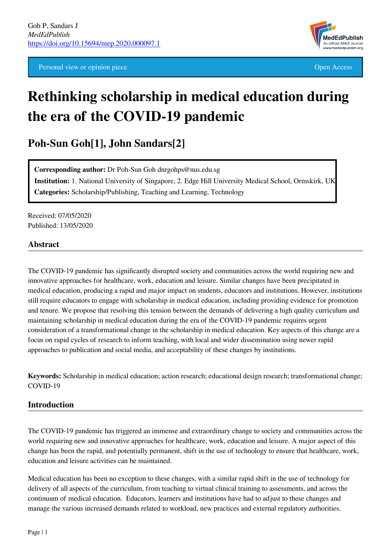Personal view or opinion piece **Open Access** Open Access **Open Access** 



# **Rethinking scholarship in medical education during the era of the COVID-19 pandemic**

**Poh-Sun Goh[1], John Sandars[2]**

**Corresponding author:** Dr Poh-Sun Goh dnrgohps@nus.edu.sg **Institution:** 1. National University of Singapore, 2. Edge Hill University Medical School, Ormskirk, UK **Categories:** Scholarship/Publishing, Teaching and Learning, Technology

Received: 07/05/2020 Published: 13/05/2020

#### **Abstract**

The COVID-19 pandemic has significantly disrupted society and communities across the world requiring new and innovative approaches for healthcare, work, education and leisure. Similar changes have been precipitated in medical education, producing a rapid and major impact on students, educators and institutions. However, institutions still require educators to engage with scholarship in medical education, including providing evidence for promotion and tenure. We propose that resolving this tension between the demands of delivering a high quality curriculum and maintaining scholarship in medical education during the era of the COVID-19 pandemic requires urgent consideration of a transformational change in the scholarship in medical education. Key aspects of this change are a focus on rapid cycles of research to inform teaching, with local and wider dissemination using newer rapid approaches to publication and social media, and acceptability of these changes by institutions.

**Keywords:** Scholarship in medical education; action research; educational design research; transformational change; COVID-19

#### **Introduction**

The COVID-19 pandemic has triggered an immense and extraordinary change to society and communities across the world requiring new and innovative approaches for healthcare, work, education and leisure. A major aspect of this change has been the rapid, and potentially permanent, shift in the use of technology to ensure that healthcare, work, education and leisure activities can be maintained.

Medical education has been no exception to these changes, with a similar rapid shift in the use of technology for delivery of all aspects of the curriculum, from teaching to virtual clinical training to assessments, and across the continuum of medical education. Educators, learners and institutions have had to adjust to these changes and manage the various increased demands related to workload, new practices and external regulatory authorities.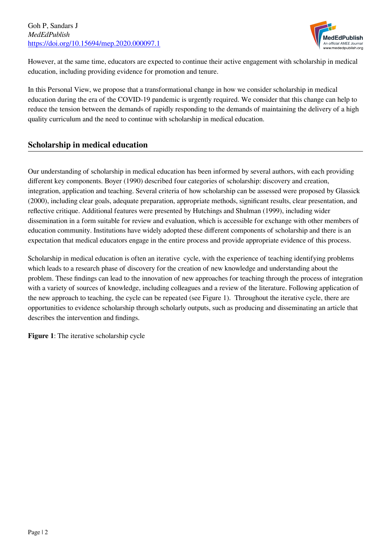

However, at the same time, educators are expected to continue their active engagement with scholarship in medical education, including providing evidence for promotion and tenure.

In this Personal View, we propose that a transformational change in how we consider scholarship in medical education during the era of the COVID-19 pandemic is urgently required. We consider that this change can help to reduce the tension between the demands of rapidly responding to the demands of maintaining the delivery of a high quality curriculum and the need to continue with scholarship in medical education.

# **Scholarship in medical education**

Our understanding of scholarship in medical education has been informed by several authors, with each providing different key components. Boyer (1990) described four categories of scholarship: discovery and creation, integration, application and teaching. Several criteria of how scholarship can be assessed were proposed by Glassick (2000), including clear goals, adequate preparation, appropriate methods, significant results, clear presentation, and reflective critique. Additional features were presented by Hutchings and Shulman (1999), including wider dissemination in a form suitable for review and evaluation, which is accessible for exchange with other members of education community. Institutions have widely adopted these different components of scholarship and there is an expectation that medical educators engage in the entire process and provide appropriate evidence of this process.

Scholarship in medical education is often an iterative cycle, with the experience of teaching identifying problems which leads to a research phase of discovery for the creation of new knowledge and understanding about the problem. These findings can lead to the innovation of new approaches for teaching through the process of integration with a variety of sources of knowledge, including colleagues and a review of the literature. Following application of the new approach to teaching, the cycle can be repeated (see Figure 1). Throughout the iterative cycle, there are opportunities to evidence scholarship through scholarly outputs, such as producing and disseminating an article that describes the intervention and findings.

**Figure 1**: The iterative scholarship cycle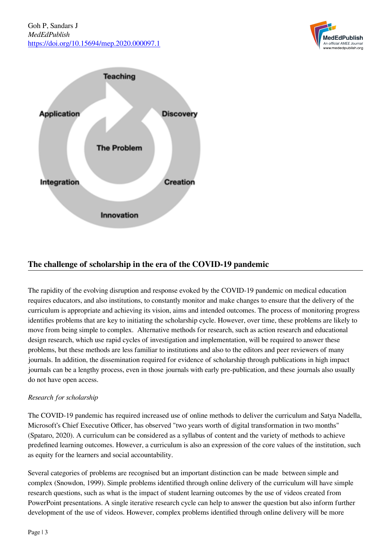



# **The challenge of scholarship in the era of the COVID-19 pandemic**

The rapidity of the evolving disruption and response evoked by the COVID-19 pandemic on medical education requires educators, and also institutions, to constantly monitor and make changes to ensure that the delivery of the curriculum is appropriate and achieving its vision, aims and intended outcomes. The process of monitoring progress identifies problems that are key to initiating the scholarship cycle. However, over time, these problems are likely to move from being simple to complex. Alternative methods for research, such as action research and educational design research, which use rapid cycles of investigation and implementation, will be required to answer these problems, but these methods are less familiar to institutions and also to the editors and peer reviewers of many journals. In addition, the dissemination required for evidence of scholarship through publications in high impact journals can be a lengthy process, even in those journals with early pre-publication, and these journals also usually do not have open access.

#### *Research for scholarship*

The COVID-19 pandemic has required increased use of online methods to deliver the curriculum and Satya Nadella, Microsoft's Chief Executive Officer, has observed "two years worth of digital transformation in two months" (Spataro, 2020). A curriculum can be considered as a syllabus of content and the variety of methods to achieve predefined learning outcomes. However, a curriculum is also an expression of the core values of the institution, such as equity for the learners and social accountability.

Several categories of problems are recognised but an important distinction can be made between simple and complex (Snowdon, 1999). Simple problems identified through online delivery of the curriculum will have simple research questions, such as what is the impact of student learning outcomes by the use of videos created from PowerPoint presentations. A single iterative research cycle can help to answer the question but also inform further development of the use of videos. However, complex problems identified through online delivery will be more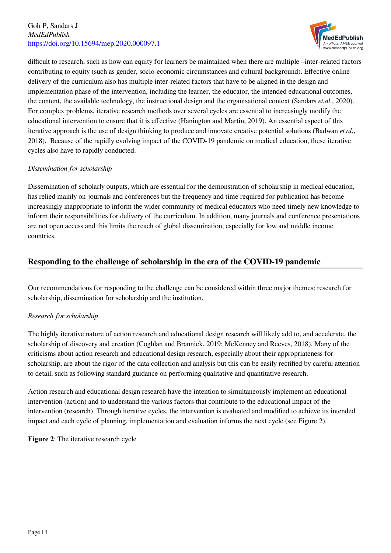

difficult to research, such as how can equity for learners be maintained when there are multiple –inter-related factors contributing to equity (such as gender, socio-economic circumstances and cultural background). Effective online delivery of the curriculum also has multiple inter-related factors that have to be aligned in the design and implementation phase of the intervention, including the learner, the educator, the intended educational outcomes, the content, the available technology, the instructional design and the organisational context (Sandars *et.al*., 2020). For complex problems, iterative research methods over several cycles are essential to increasingly modify the educational intervention to ensure that it is effective (Hanington and Martin, 2019). An essential aspect of this iterative approach is the use of design thinking to produce and innovate creative potential solutions (Badwan *et al*., 2018). Because of the rapidly evolving impact of the COVID-19 pandemic on medical education, these iterative cycles also have to rapidly conducted.

#### *Dissemination for scholarship*

Dissemination of scholarly outputs, which are essential for the demonstration of scholarship in medical education, has relied mainly on journals and conferences but the frequency and time required for publication has become increasingly inappropriate to inform the wider community of medical educators who need timely new knowledge to inform their responsibilities for delivery of the curriculum. In addition, many journals and conference presentations are not open access and this limits the reach of global dissemination, especially for low and middle income countries.

# **Responding to the challenge of scholarship in the era of the COVID-19 pandemic**

Our recommendations for responding to the challenge can be considered within three major themes: research for scholarship, dissemination for scholarship and the institution.

## *Research for scholarship*

The highly iterative nature of action research and educational design research will likely add to, and accelerate, the scholarship of discovery and creation (Coghlan and Brannick, 2019; McKenney and Reeves, 2018). Many of the criticisms about action research and educational design research, especially about their appropriateness for scholarship, are about the rigor of the data collection and analysis but this can be easily rectified by careful attention to detail, such as following standard guidance on performing qualitative and quantitative research.

Action research and educational design research have the intention to simultaneously implement an educational intervention (action) and to understand the various factors that contribute to the educational impact of the intervention (research). Through iterative cycles, the intervention is evaluated and modified to achieve its intended impact and each cycle of planning, implementation and evaluation informs the next cycle (see Figure 2).

**Figure 2**: The iterative research cycle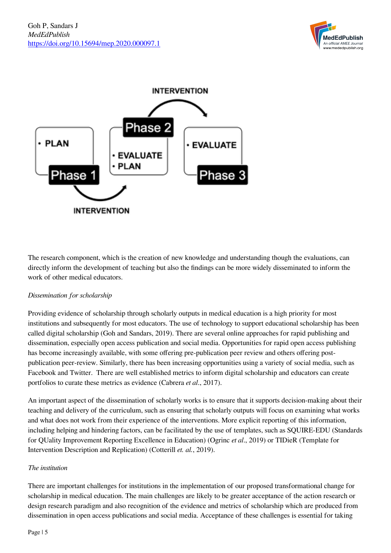



The research component, which is the creation of new knowledge and understanding though the evaluations, can directly inform the development of teaching but also the findings can be more widely disseminated to inform the work of other medical educators.

#### *Dissemination for scholarship*

Providing evidence of scholarship through scholarly outputs in medical education is a high priority for most institutions and subsequently for most educators. The use of technology to support educational scholarship has been called digital scholarship (Goh and Sandars, 2019). There are several online approaches for rapid publishing and dissemination, especially open access publication and social media. Opportunities for rapid open access publishing has become increasingly available, with some offering pre-publication peer review and others offering postpublication peer-review. Similarly, there has been increasing opportunities using a variety of social media, such as Facebook and Twitter. There are well established metrics to inform digital scholarship and educators can create portfolios to curate these metrics as evidence (Cabrera *et al*., 2017).

An important aspect of the dissemination of scholarly works is to ensure that it supports decision-making about their teaching and delivery of the curriculum, such as ensuring that scholarly outputs will focus on examining what works and what does not work from their experience of the interventions. More explicit reporting of this information, including helping and hindering factors, can be facilitated by the use of templates, such as SQUIRE-EDU (Standards for QUality Improvement Reporting Excellence in Education) (Ogrinc *et al*., 2019) or TIDieR (Template for Intervention Description and Replication) (Cotterill *et. al.*, 2019).

#### *The institution*

There are important challenges for institutions in the implementation of our proposed transformational change for scholarship in medical education. The main challenges are likely to be greater acceptance of the action research or design research paradigm and also recognition of the evidence and metrics of scholarship which are produced from dissemination in open access publications and social media. Acceptance of these challenges is essential for taking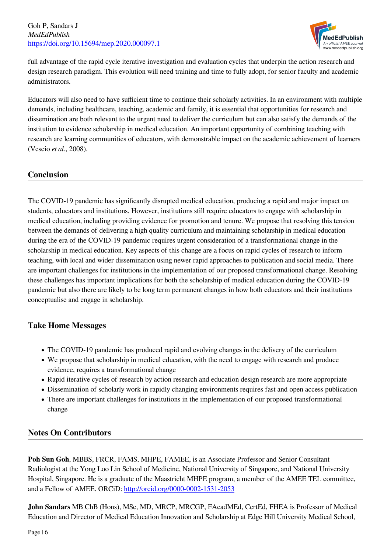

full advantage of the rapid cycle iterative investigation and evaluation cycles that underpin the action research and design research paradigm. This evolution will need training and time to fully adopt, for senior faculty and academic administrators.

Educators will also need to have sufficient time to continue their scholarly activities. In an environment with multiple demands, including healthcare, teaching, academic and family, it is essential that opportunities for research and dissemination are both relevant to the urgent need to deliver the curriculum but can also satisfy the demands of the institution to evidence scholarship in medical education. An important opportunity of combining teaching with research are learning communities of educators, with demonstrable impact on the academic achievement of learners (Vescio *et al.*, 2008).

## **Conclusion**

The COVID-19 pandemic has significantly disrupted medical education, producing a rapid and major impact on students, educators and institutions. However, institutions still require educators to engage with scholarship in medical education, including providing evidence for promotion and tenure. We propose that resolving this tension between the demands of delivering a high quality curriculum and maintaining scholarship in medical education during the era of the COVID-19 pandemic requires urgent consideration of a transformational change in the scholarship in medical education. Key aspects of this change are a focus on rapid cycles of research to inform teaching, with local and wider dissemination using newer rapid approaches to publication and social media. There are important challenges for institutions in the implementation of our proposed transformational change. Resolving these challenges has important implications for both the scholarship of medical education during the COVID-19 pandemic but also there are likely to be long term permanent changes in how both educators and their institutions conceptualise and engage in scholarship.

## **Take Home Messages**

- The COVID-19 pandemic has produced rapid and evolving changes in the delivery of the curriculum
- We propose that scholarship in medical education, with the need to engage with research and produce evidence, requires a transformational change
- Rapid iterative cycles of research by action research and education design research are more appropriate
- Dissemination of scholarly work in rapidly changing environments requires fast and open access publication
- There are important challenges for institutions in the implementation of our proposed transformational change

# **Notes On Contributors**

**Poh Sun Goh**, MBBS, FRCR, FAMS, MHPE, FAMEE, is an Associate Professor and Senior Consultant Radiologist at the Yong Loo Lin School of Medicine, National University of Singapore, and National University Hospital, Singapore. He is a graduate of the Maastricht MHPE program, a member of the AMEE TEL committee, and a Fellow of AMEE. ORCiD: [http://orcid.org/0000-0002-1531-2053](https://orcid.org/0000-0002-1531-2053)

**John Sandars** MB ChB (Hons), MSc, MD, MRCP, MRCGP, FAcadMEd, CertEd, FHEA is Professor of Medical Education and Director of Medical Education Innovation and Scholarship at Edge Hill University Medical School,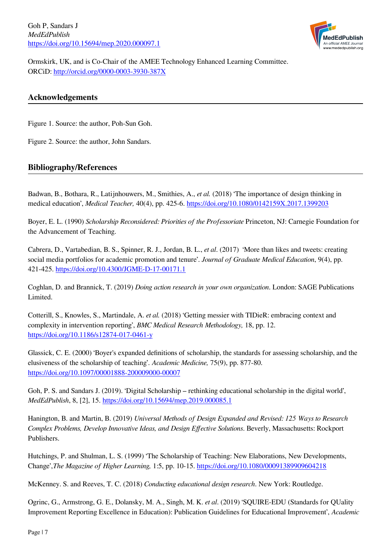Goh P, Sandars J *MedEdPublish* <https://doi.org/10.15694/mep.2020.000097.1>



Ormskirk, UK, and is Co-Chair of the AMEE Technology Enhanced Learning Committee. ORCiD: [http://orcid.org/0000-0003-3930-387X](https://orcid.org/0000-0003-3930-387X)

### **Acknowledgements**

Figure 1. Source: the author, Poh-Sun Goh.

Figure 2. Source: the author, John Sandars.

#### **Bibliography/References**

Badwan, B., Bothara, R., Latijnhouwers, M., Smithies, A., *et al.* (2018) 'The importance of design thinking in medical education', *Medical Teacher,* 40(4), pp. 425-6.<https://doi.org/10.1080/0142159X.2017.1399203>

Boyer, E. L. (1990) *Scholarship Reconsidered: Priorities of the Professoriate* Princeton, NJ: Carnegie Foundation for the Advancement of Teaching.

Cabrera, D., Vartabedian, B. S., Spinner, R. J., Jordan, B. L., *et al*. (2017) 'More than likes and tweets: creating social media portfolios for academic promotion and tenure'. *Journal of Graduate Medical Education*, 9(4), pp. 421-425. <https://doi.org/10.4300/JGME-D-17-00171.1>

Coghlan, D. and Brannick, T. (2019) *Doing action research in your own organization*. London: SAGE Publications Limited.

Cotterill, S., Knowles, S., Martindale, A. *et al.* (2018) 'Getting messier with TIDieR: embracing context and complexity in intervention reporting', *BMC Medical Research Methodology,* 18, pp. 12. <https://doi.org/10.1186/s12874-017-0461-y>

Glassick, C. E. (2000) 'Boyer's expanded definitions of scholarship, the standards for assessing scholarship, and the elusiveness of the scholarship of teaching'. *Academic Medicine,* 75(9), pp. 877-80. <https://doi.org/10.1097/00001888-200009000-00007>

Goh, P. S. and Sandars J. (2019). 'Digital Scholarship – rethinking educational scholarship in the digital world', *MedEdPublish*, 8, [2], 15.<https://doi.org/10.15694/mep.2019.000085.1>

Hanington, B. and Martin, B. (2019) *Universal Methods of Design Expanded and Revised: 125 Ways to Research Complex Problems, Develop Innovative Ideas, and Design Effective Solutions*. Beverly, Massachusetts: Rockport Publishers.

Hutchings, P. and Shulman, L. S. (1999) 'The Scholarship of Teaching: New Elaborations, New Developments, Change',*The Magazine of Higher Learning,* 1:5, pp. 10-15. <https://doi.org/10.1080/00091389909604218>

McKenney. S. and Reeves, T. C. (2018) *Conducting educational design research*. New York: Routledge.

Ogrinc, G., Armstrong, G. E., Dolansky, M. A., Singh, M. K. *et al*. (2019) 'SQUIRE-EDU (Standards for QUality Improvement Reporting Excellence in Education): Publication Guidelines for Educational Improvement', *Academic*